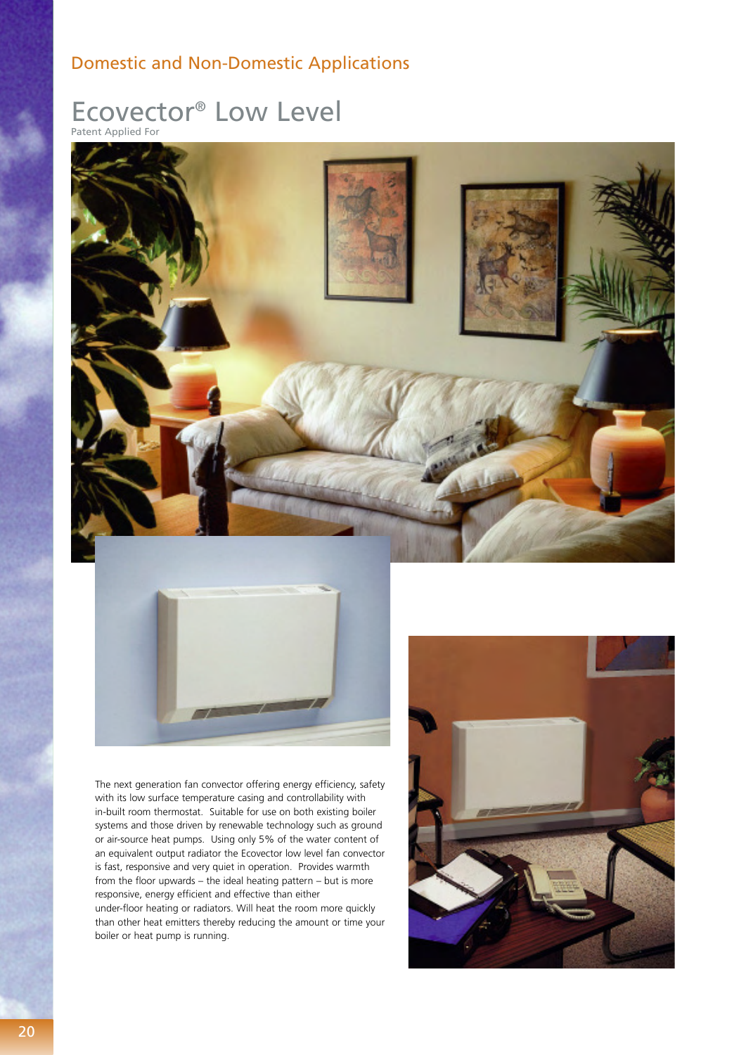## Domestic and Non-Domestic Applications

# Ecovector® Low Level

Patent Applied For





The next generation fan convector offering energy efficiency, safety with its low surface temperature casing and controllability with in-built room thermostat. Suitable for use on both existing boiler systems and those driven by renewable technology such as ground or air-source heat pumps. Using only 5% of the water content of an equivalent output radiator the Ecovector low level fan convector is fast, responsive and very quiet in operation. Provides warmth from the floor upwards – the ideal heating pattern – but is more responsive, energy efficient and effective than either under-floor heating or radiators. Will heat the room more quickly than other heat emitters thereby reducing the amount or time your boiler or heat pump is running.